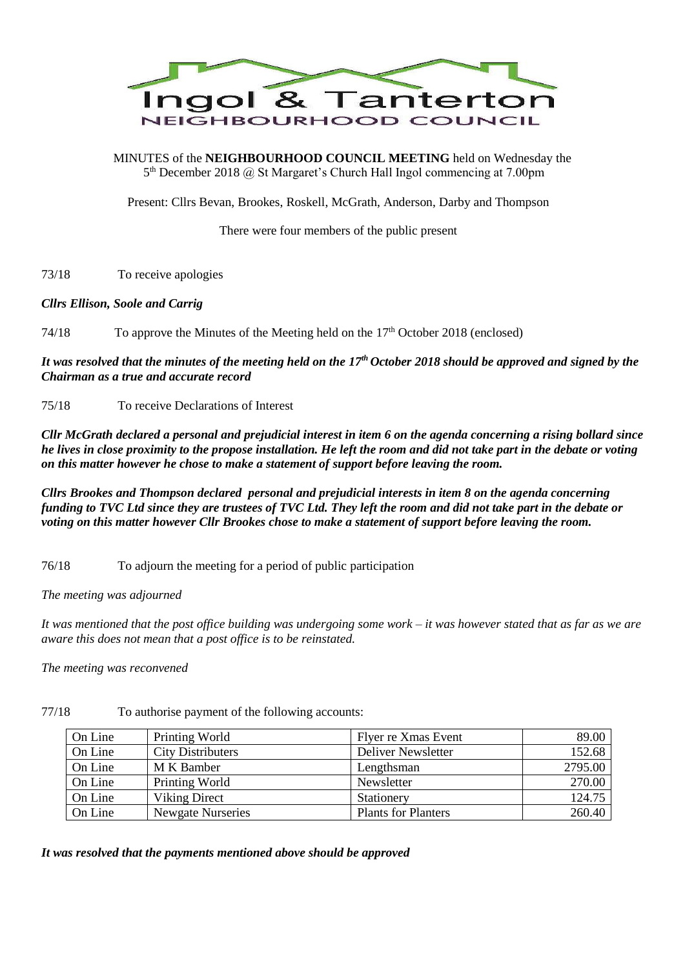

MINUTES of the **NEIGHBOURHOOD COUNCIL MEETING** held on Wednesday the 5<sup>th</sup> December 2018 @ St Margaret's Church Hall Ingol commencing at 7.00pm

Present: Cllrs Bevan, Brookes, Roskell, McGrath, Anderson, Darby and Thompson

There were four members of the public present

73/18 To receive apologies

## *Cllrs Ellison, Soole and Carrig*

74/18 To approve the Minutes of the Meeting held on the 17 th October 2018 (enclosed)

*It was resolved that the minutes of the meeting held on the 17th October 2018 should be approved and signed by the Chairman as a true and accurate record*

75/18 To receive Declarations of Interest

*Cllr McGrath declared a personal and prejudicial interest in item 6 on the agenda concerning a rising bollard since he lives in close proximity to the propose installation. He left the room and did not take part in the debate or voting on this matter however he chose to make a statement of support before leaving the room.*

*Cllrs Brookes and Thompson declared personal and prejudicial interests in item 8 on the agenda concerning funding to TVC Ltd since they are trustees of TVC Ltd. They left the room and did not take part in the debate or voting on this matter however Cllr Brookes chose to make a statement of support before leaving the room.*

76/18 To adjourn the meeting for a period of public participation

*The meeting was adjourned* 

*It was mentioned that the post office building was undergoing some work – it was however stated that as far as we are aware this does not mean that a post office is to be reinstated.*

*The meeting was reconvened*

77/18 To authorise payment of the following accounts:

| On Line | Printing World           | Flyer re Xmas Event        | 89.00   |
|---------|--------------------------|----------------------------|---------|
| On Line | <b>City Distributers</b> | <b>Deliver Newsletter</b>  | 152.68  |
| On Line | M K Bamber               | Lengthsman                 | 2795.00 |
| On Line | Printing World           | Newsletter                 | 270.00  |
| On Line | Viking Direct            | Stationery                 | 124.75  |
| On Line | <b>Newgate Nurseries</b> | <b>Plants for Planters</b> | 260.40  |

*It was resolved that the payments mentioned above should be approved*